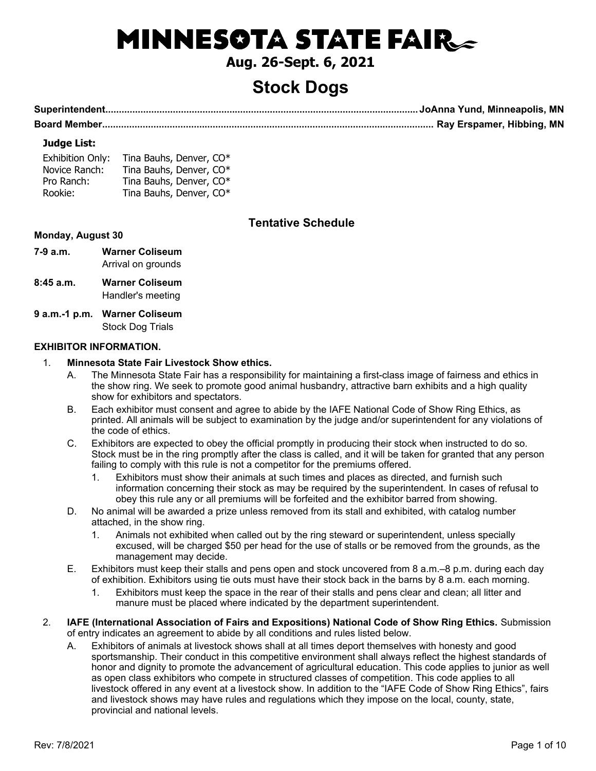# **MINNESOTA STATE FAIR**

### **Aug. 26-Sept. 6, 2021**

### **Stock Dogs**

**Superintendent....................................................................................................................JoAnna Yund, Minneapolis, MN Board Member........................................................................................................................... Ray Erspamer, Hibbing, MN**

#### **Judge List:**

| <b>Exhibition Only:</b> | Tina Bauhs, Denver, CO* |
|-------------------------|-------------------------|
| Novice Ranch:           | Tina Bauhs, Denver, CO* |
| Pro Ranch:              | Tina Bauhs, Denver, CO* |
| Rookie:                 | Tina Bauhs, Denver, CO* |

#### **Tentative Schedule**

#### **Monday, August 30**

- **7-9 a.m. Warner Coliseum** Arrival on grounds
- **8:45 a.m. Warner Coliseum** Handler's meeting
- **9 a.m.-1 p.m. Warner Coliseum** Stock Dog Trials

#### **EXHIBITOR INFORMATION.**

#### 1. **Minnesota State Fair Livestock Show ethics.**

- A. The Minnesota State Fair has a responsibility for maintaining a first-class image of fairness and ethics in the show ring. We seek to promote good animal husbandry, attractive barn exhibits and a high quality show for exhibitors and spectators.
- B. Each exhibitor must consent and agree to abide by the IAFE National Code of Show Ring Ethics, as printed. All animals will be subject to examination by the judge and/or superintendent for any violations of the code of ethics.
- C. Exhibitors are expected to obey the official promptly in producing their stock when instructed to do so. Stock must be in the ring promptly after the class is called, and it will be taken for granted that any person failing to comply with this rule is not a competitor for the premiums offered.
	- 1. Exhibitors must show their animals at such times and places as directed, and furnish such information concerning their stock as may be required by the superintendent. In cases of refusal to obey this rule any or all premiums will be forfeited and the exhibitor barred from showing.
- D. No animal will be awarded a prize unless removed from its stall and exhibited, with catalog number attached, in the show ring.
	- 1. Animals not exhibited when called out by the ring steward or superintendent, unless specially excused, will be charged \$50 per head for the use of stalls or be removed from the grounds, as the management may decide.
- E. Exhibitors must keep their stalls and pens open and stock uncovered from 8 a.m.–8 p.m. during each day of exhibition. Exhibitors using tie outs must have their stock back in the barns by 8 a.m. each morning.
	- 1. Exhibitors must keep the space in the rear of their stalls and pens clear and clean; all litter and manure must be placed where indicated by the department superintendent.
- 2. **IAFE (International Association of Fairs and Expositions) National Code of Show Ring Ethics.** Submission of entry indicates an agreement to abide by all conditions and rules listed below.
	- A. Exhibitors of animals at livestock shows shall at all times deport themselves with honesty and good sportsmanship. Their conduct in this competitive environment shall always reflect the highest standards of honor and dignity to promote the advancement of agricultural education. This code applies to junior as well as open class exhibitors who compete in structured classes of competition. This code applies to all livestock offered in any event at a livestock show. In addition to the "IAFE Code of Show Ring Ethics", fairs and livestock shows may have rules and regulations which they impose on the local, county, state, provincial and national levels.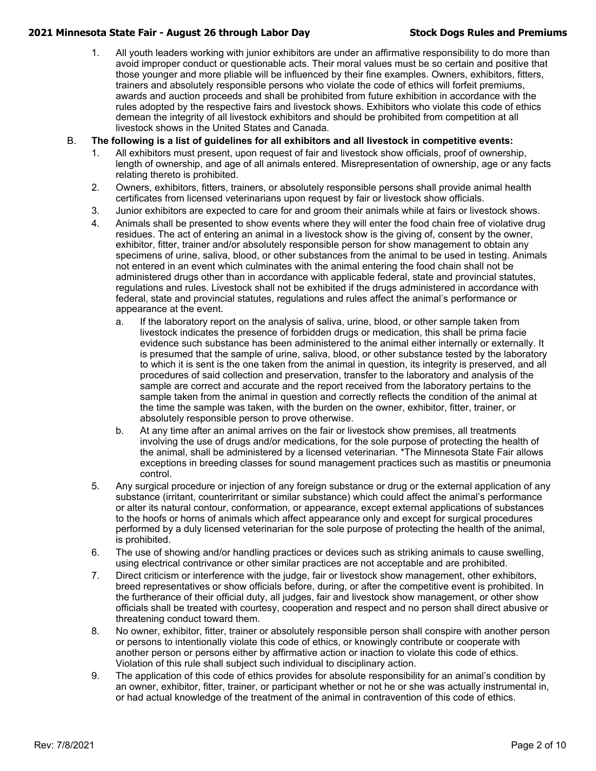1. All youth leaders working with junior exhibitors are under an affirmative responsibility to do more than avoid improper conduct or questionable acts. Their moral values must be so certain and positive that those younger and more pliable will be influenced by their fine examples. Owners, exhibitors, fitters, trainers and absolutely responsible persons who violate the code of ethics will forfeit premiums, awards and auction proceeds and shall be prohibited from future exhibition in accordance with the rules adopted by the respective fairs and livestock shows. Exhibitors who violate this code of ethics demean the integrity of all livestock exhibitors and should be prohibited from competition at all livestock shows in the United States and Canada.

#### B. **The following is a list of guidelines for all exhibitors and all livestock in competitive events:**

- 1. All exhibitors must present, upon request of fair and livestock show officials, proof of ownership, length of ownership, and age of all animals entered. Misrepresentation of ownership, age or any facts relating thereto is prohibited.
- 2. Owners, exhibitors, fitters, trainers, or absolutely responsible persons shall provide animal health certificates from licensed veterinarians upon request by fair or livestock show officials.
- 3. Junior exhibitors are expected to care for and groom their animals while at fairs or livestock shows.
- 4. Animals shall be presented to show events where they will enter the food chain free of violative drug residues. The act of entering an animal in a livestock show is the giving of, consent by the owner, exhibitor, fitter, trainer and/or absolutely responsible person for show management to obtain any specimens of urine, saliva, blood, or other substances from the animal to be used in testing. Animals not entered in an event which culminates with the animal entering the food chain shall not be administered drugs other than in accordance with applicable federal, state and provincial statutes, regulations and rules. Livestock shall not be exhibited if the drugs administered in accordance with federal, state and provincial statutes, regulations and rules affect the animal's performance or appearance at the event.
	- a. If the laboratory report on the analysis of saliva, urine, blood, or other sample taken from livestock indicates the presence of forbidden drugs or medication, this shall be prima facie evidence such substance has been administered to the animal either internally or externally. It is presumed that the sample of urine, saliva, blood, or other substance tested by the laboratory to which it is sent is the one taken from the animal in question, its integrity is preserved, and all procedures of said collection and preservation, transfer to the laboratory and analysis of the sample are correct and accurate and the report received from the laboratory pertains to the sample taken from the animal in question and correctly reflects the condition of the animal at the time the sample was taken, with the burden on the owner, exhibitor, fitter, trainer, or absolutely responsible person to prove otherwise.
	- b. At any time after an animal arrives on the fair or livestock show premises, all treatments involving the use of drugs and/or medications, for the sole purpose of protecting the health of the animal, shall be administered by a licensed veterinarian. \*The Minnesota State Fair allows exceptions in breeding classes for sound management practices such as mastitis or pneumonia control.
- 5. Any surgical procedure or injection of any foreign substance or drug or the external application of any substance (irritant, counterirritant or similar substance) which could affect the animal's performance or alter its natural contour, conformation, or appearance, except external applications of substances to the hoofs or horns of animals which affect appearance only and except for surgical procedures performed by a duly licensed veterinarian for the sole purpose of protecting the health of the animal, is prohibited.
- 6. The use of showing and/or handling practices or devices such as striking animals to cause swelling, using electrical contrivance or other similar practices are not acceptable and are prohibited.
- 7. Direct criticism or interference with the judge, fair or livestock show management, other exhibitors, breed representatives or show officials before, during, or after the competitive event is prohibited. In the furtherance of their official duty, all judges, fair and livestock show management, or other show officials shall be treated with courtesy, cooperation and respect and no person shall direct abusive or threatening conduct toward them.
- 8. No owner, exhibitor, fitter, trainer or absolutely responsible person shall conspire with another person or persons to intentionally violate this code of ethics, or knowingly contribute or cooperate with another person or persons either by affirmative action or inaction to violate this code of ethics. Violation of this rule shall subject such individual to disciplinary action.
- 9. The application of this code of ethics provides for absolute responsibility for an animal's condition by an owner, exhibitor, fitter, trainer, or participant whether or not he or she was actually instrumental in, or had actual knowledge of the treatment of the animal in contravention of this code of ethics.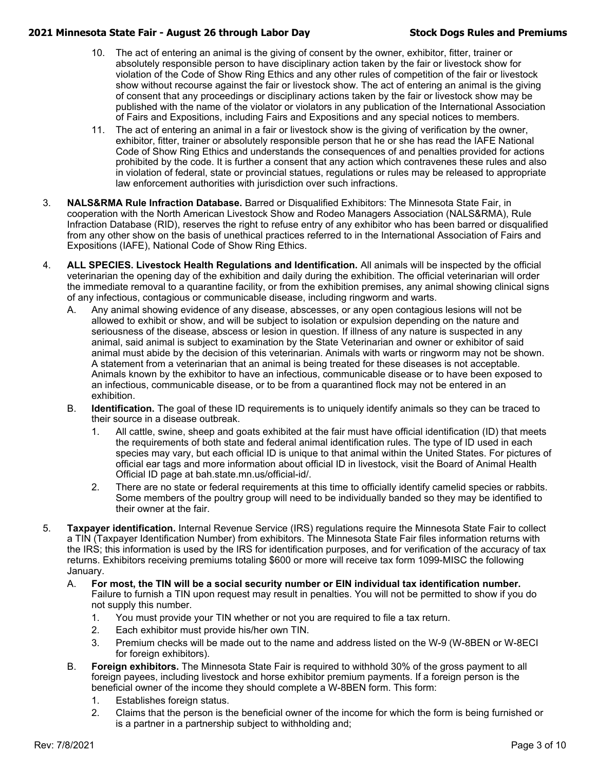- 10. The act of entering an animal is the giving of consent by the owner, exhibitor, fitter, trainer or absolutely responsible person to have disciplinary action taken by the fair or livestock show for violation of the Code of Show Ring Ethics and any other rules of competition of the fair or livestock show without recourse against the fair or livestock show. The act of entering an animal is the giving of consent that any proceedings or disciplinary actions taken by the fair or livestock show may be published with the name of the violator or violators in any publication of the International Association of Fairs and Expositions, including Fairs and Expositions and any special notices to members.
- 11. The act of entering an animal in a fair or livestock show is the giving of verification by the owner, exhibitor, fitter, trainer or absolutely responsible person that he or she has read the IAFE National Code of Show Ring Ethics and understands the consequences of and penalties provided for actions prohibited by the code. It is further a consent that any action which contravenes these rules and also in violation of federal, state or provincial statues, regulations or rules may be released to appropriate law enforcement authorities with jurisdiction over such infractions.
- 3. **NALS&RMA Rule Infraction Database.** Barred or Disqualified Exhibitors: The Minnesota State Fair, in cooperation with the North American Livestock Show and Rodeo Managers Association (NALS&RMA), Rule Infraction Database (RID), reserves the right to refuse entry of any exhibitor who has been barred or disqualified from any other show on the basis of unethical practices referred to in the International Association of Fairs and Expositions (IAFE), National Code of Show Ring Ethics.
- 4. **ALL SPECIES. Livestock Health Regulations and Identification.** All animals will be inspected by the official veterinarian the opening day of the exhibition and daily during the exhibition. The official veterinarian will order the immediate removal to a quarantine facility, or from the exhibition premises, any animal showing clinical signs of any infectious, contagious or communicable disease, including ringworm and warts.
	- A. Any animal showing evidence of any disease, abscesses, or any open contagious lesions will not be allowed to exhibit or show, and will be subject to isolation or expulsion depending on the nature and seriousness of the disease, abscess or lesion in question. If illness of any nature is suspected in any animal, said animal is subject to examination by the State Veterinarian and owner or exhibitor of said animal must abide by the decision of this veterinarian. Animals with warts or ringworm may not be shown. A statement from a veterinarian that an animal is being treated for these diseases is not acceptable. Animals known by the exhibitor to have an infectious, communicable disease or to have been exposed to an infectious, communicable disease, or to be from a quarantined flock may not be entered in an exhibition.
	- B. **Identification.** The goal of these ID requirements is to uniquely identify animals so they can be traced to their source in a disease outbreak.
		- 1. All cattle, swine, sheep and goats exhibited at the fair must have official identification (ID) that meets the requirements of both state and federal animal identification rules. The type of ID used in each species may vary, but each official ID is unique to that animal within the United States. For pictures of official ear tags and more information about official ID in livestock, visit the Board of Animal Health Official ID page at bah.state.mn.us/official-id/.
		- 2. There are no state or federal requirements at this time to officially identify camelid species or rabbits. Some members of the poultry group will need to be individually banded so they may be identified to their owner at the fair.
- 5. **Taxpayer identification.** Internal Revenue Service (IRS) regulations require the Minnesota State Fair to collect a TIN (Taxpayer Identification Number) from exhibitors. The Minnesota State Fair files information returns with the IRS; this information is used by the IRS for identification purposes, and for verification of the accuracy of tax returns. Exhibitors receiving premiums totaling \$600 or more will receive tax form 1099-MISC the following January.
	- A. **For most, the TIN will be a social security number or EIN individual tax identification number.** Failure to furnish a TIN upon request may result in penalties. You will not be permitted to show if you do not supply this number.
		- 1. You must provide your TIN whether or not you are required to file a tax return.
		- 2. Each exhibitor must provide his/her own TIN.
		- 3. Premium checks will be made out to the name and address listed on the W-9 (W-8BEN or W-8ECI for foreign exhibitors).
	- B. **Foreign exhibitors.** The Minnesota State Fair is required to withhold 30% of the gross payment to all foreign payees, including livestock and horse exhibitor premium payments. If a foreign person is the beneficial owner of the income they should complete a W-8BEN form. This form:
		- 1. Establishes foreign status.
		- 2. Claims that the person is the beneficial owner of the income for which the form is being furnished or is a partner in a partnership subject to withholding and;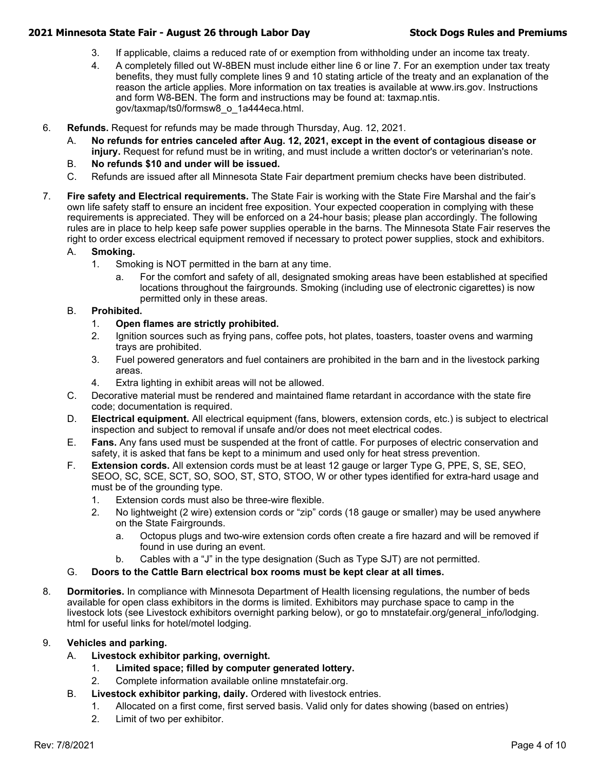- 3. If applicable, claims a reduced rate of or exemption from withholding under an income tax treaty.
- 4. A completely filled out W-8BEN must include either line 6 or line 7. For an exemption under tax treaty benefits, they must fully complete lines 9 and 10 stating article of the treaty and an explanation of the reason the article applies. More information on tax treaties is available at www.irs.gov. Instructions and form W8-BEN. The form and instructions may be found at: taxmap.ntis. gov/taxmap/ts0/formsw8\_o\_1a444eca.html.
- 6. **Refunds.** Request for refunds may be made through Thursday, Aug. 12, 2021.
	- A. **No refunds for entries canceled after Aug. 12, 2021, except in the event of contagious disease or injury.** Request for refund must be in writing, and must include a written doctor's or veterinarian's note.
	- B. **No refunds \$10 and under will be issued.**
	- C. Refunds are issued after all Minnesota State Fair department premium checks have been distributed.
- 7. **Fire safety and Electrical requirements.** The State Fair is working with the State Fire Marshal and the fair's own life safety staff to ensure an incident free exposition. Your expected cooperation in complying with these requirements is appreciated. They will be enforced on a 24-hour basis; please plan accordingly. The following rules are in place to help keep safe power supplies operable in the barns. The Minnesota State Fair reserves the right to order excess electrical equipment removed if necessary to protect power supplies, stock and exhibitors.

#### A. **Smoking.**

- 1. Smoking is NOT permitted in the barn at any time.
	- For the comfort and safety of all, designated smoking areas have been established at specified locations throughout the fairgrounds. Smoking (including use of electronic cigarettes) is now permitted only in these areas.

#### B. **Prohibited.**

- 1. **Open flames are strictly prohibited.**
- 2. Ignition sources such as frying pans, coffee pots, hot plates, toasters, toaster ovens and warming trays are prohibited.
- 3. Fuel powered generators and fuel containers are prohibited in the barn and in the livestock parking areas.
- 4. Extra lighting in exhibit areas will not be allowed.
- C. Decorative material must be rendered and maintained flame retardant in accordance with the state fire code; documentation is required.
- D. **Electrical equipment.** All electrical equipment (fans, blowers, extension cords, etc.) is subject to electrical inspection and subject to removal if unsafe and/or does not meet electrical codes.
- E. **Fans.** Any fans used must be suspended at the front of cattle. For purposes of electric conservation and safety, it is asked that fans be kept to a minimum and used only for heat stress prevention.
- F. **Extension cords.** All extension cords must be at least 12 gauge or larger Type G, PPE, S, SE, SEO, SEOO, SC, SCE, SCT, SO, SOO, ST, STO, STOO, W or other types identified for extra-hard usage and must be of the grounding type.
	- 1. Extension cords must also be three-wire flexible.
	- 2. No lightweight (2 wire) extension cords or "zip" cords (18 gauge or smaller) may be used anywhere on the State Fairgrounds.
		- a. Octopus plugs and two-wire extension cords often create a fire hazard and will be removed if found in use during an event.
		- b. Cables with a "J" in the type designation (Such as Type SJT) are not permitted.
- G. **Doors to the Cattle Barn electrical box rooms must be kept clear at all times.**
- 8. **Dormitories.** In compliance with Minnesota Department of Health licensing regulations, the number of beds available for open class exhibitors in the dorms is limited. Exhibitors may purchase space to camp in the livestock lots (see Livestock exhibitors overnight parking below), or go to mnstatefair.org/general\_info/lodging. html for useful links for hotel/motel lodging.

#### 9. **Vehicles and parking.**

- A. **Livestock exhibitor parking, overnight.**
	- 1. **Limited space; filled by computer generated lottery.**
	- 2. Complete information available online mnstatefair.org.
- B. **Livestock exhibitor parking, daily.** Ordered with livestock entries.
	- 1. Allocated on a first come, first served basis. Valid only for dates showing (based on entries)
	- 2. Limit of two per exhibitor.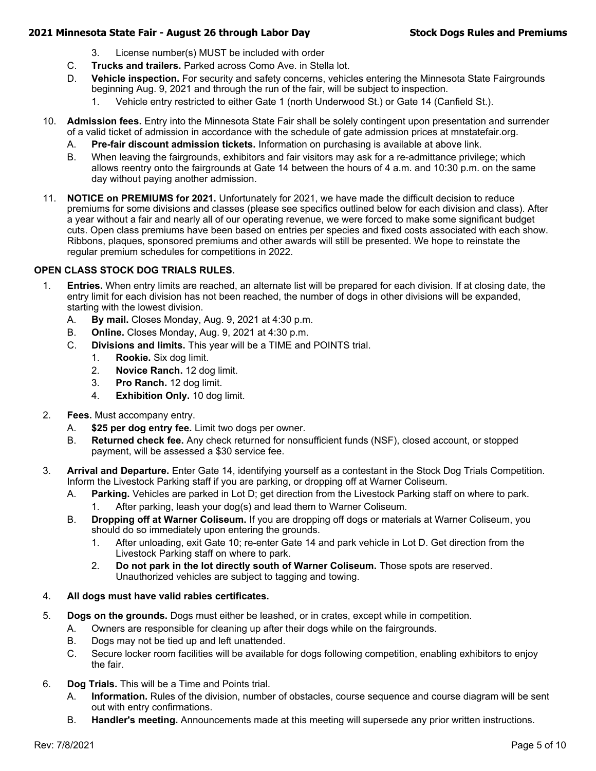- 3. License number(s) MUST be included with order
- C. **Trucks and trailers.** Parked across Como Ave. in Stella lot.
- D. **Vehicle inspection.** For security and safety concerns, vehicles entering the Minnesota State Fairgrounds beginning Aug. 9, 2021 and through the run of the fair, will be subject to inspection.
	- 1. Vehicle entry restricted to either Gate 1 (north Underwood St.) or Gate 14 (Canfield St.).
- 10. **Admission fees.** Entry into the Minnesota State Fair shall be solely contingent upon presentation and surrender of a valid ticket of admission in accordance with the schedule of gate admission prices at mnstatefair.org.
	- A. **Pre-fair discount admission tickets.** Information on purchasing is available at above link.
	- B. When leaving the fairgrounds, exhibitors and fair visitors may ask for a re-admittance privilege; which allows reentry onto the fairgrounds at Gate 14 between the hours of 4 a.m. and 10:30 p.m. on the same day without paying another admission.
- 11. **NOTICE on PREMIUMS for 2021.** Unfortunately for 2021, we have made the difficult decision to reduce premiums for some divisions and classes (please see specifics outlined below for each division and class). After a year without a fair and nearly all of our operating revenue, we were forced to make some significant budget cuts. Open class premiums have been based on entries per species and fixed costs associated with each show. Ribbons, plaques, sponsored premiums and other awards will still be presented. We hope to reinstate the regular premium schedules for competitions in 2022.

#### **OPEN CLASS STOCK DOG TRIALS RULES.**

- 1. **Entries.** When entry limits are reached, an alternate list will be prepared for each division. If at closing date, the entry limit for each division has not been reached, the number of dogs in other divisions will be expanded, starting with the lowest division.
	- A. **By mail.** Closes Monday, Aug. 9, 2021 at 4:30 p.m.
	- B. **Online.** Closes Monday, Aug. 9, 2021 at 4:30 p.m.
	- C. **Divisions and limits.** This year will be a TIME and POINTS trial.
		- 1. **Rookie.** Six dog limit.
		- 2. **Novice Ranch.** 12 dog limit.
		- 3. **Pro Ranch.** 12 dog limit.
		- 4. **Exhibition Only.** 10 dog limit.
- 2. **Fees.** Must accompany entry.
	- A. **\$25 per dog entry fee.** Limit two dogs per owner.
	- B. **Returned check fee.** Any check returned for nonsufficient funds (NSF), closed account, or stopped payment, will be assessed a \$30 service fee.
- 3. **Arrival and Departure.** Enter Gate 14, identifying yourself as a contestant in the Stock Dog Trials Competition. Inform the Livestock Parking staff if you are parking, or dropping off at Warner Coliseum.
	- A. **Parking.** Vehicles are parked in Lot D; get direction from the Livestock Parking staff on where to park.
		- 1. After parking, leash your dog(s) and lead them to Warner Coliseum.
	- B. **Dropping off at Warner Coliseum.** If you are dropping off dogs or materials at Warner Coliseum, you should do so immediately upon entering the grounds.
		- 1. After unloading, exit Gate 10; re-enter Gate 14 and park vehicle in Lot D. Get direction from the Livestock Parking staff on where to park.
		- 2. **Do not park in the lot directly south of Warner Coliseum.** Those spots are reserved. Unauthorized vehicles are subject to tagging and towing.

#### 4. **All dogs must have valid rabies certificates.**

- 5. **Dogs on the grounds.** Dogs must either be leashed, or in crates, except while in competition.
	- A. Owners are responsible for cleaning up after their dogs while on the fairgrounds.
	- B. Dogs may not be tied up and left unattended.
	- C. Secure locker room facilities will be available for dogs following competition, enabling exhibitors to enjoy the fair.
- 6. **Dog Trials.** This will be a Time and Points trial.
	- A. **Information.** Rules of the division, number of obstacles, course sequence and course diagram will be sent out with entry confirmations.
	- B. **Handler's meeting.** Announcements made at this meeting will supersede any prior written instructions.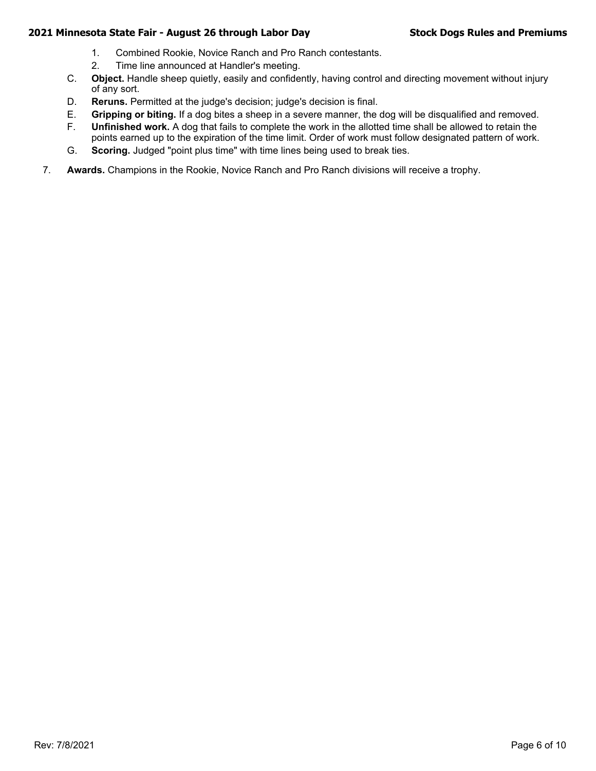- 1. Combined Rookie, Novice Ranch and Pro Ranch contestants.
- 2. Time line announced at Handler's meeting.
- C. **Object.** Handle sheep quietly, easily and confidently, having control and directing movement without injury of any sort.
- D. **Reruns.** Permitted at the judge's decision; judge's decision is final.
- E. **Gripping or biting.** If a dog bites a sheep in a severe manner, the dog will be disqualified and removed.
- F. **Unfinished work.** A dog that fails to complete the work in the allotted time shall be allowed to retain the points earned up to the expiration of the time limit. Order of work must follow designated pattern of work.
- G. **Scoring.** Judged "point plus time" with time lines being used to break ties.
- 7. **Awards.** Champions in the Rookie, Novice Ranch and Pro Ranch divisions will receive a trophy.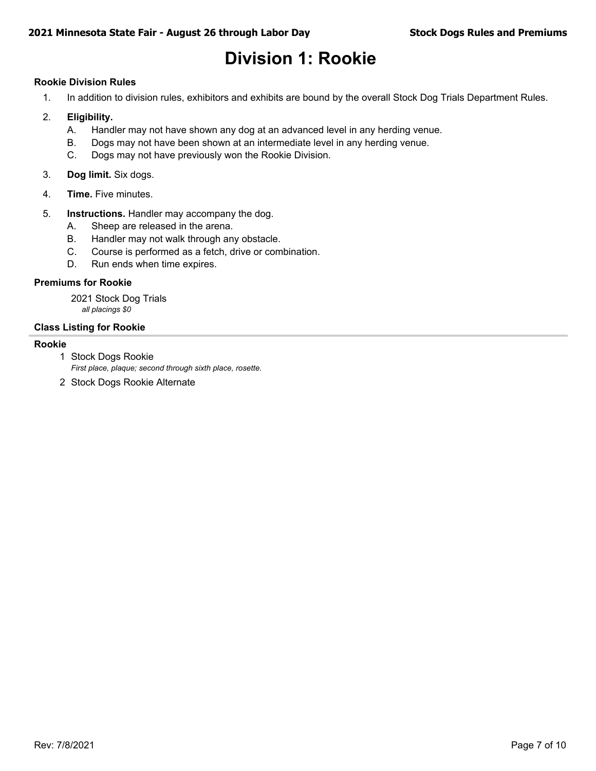## **Division 1: Rookie**

#### **Rookie Division Rules**

1. In addition to division rules, exhibitors and exhibits are bound by the overall Stock Dog Trials Department Rules.

#### 2. **Eligibility.**

- A. Handler may not have shown any dog at an advanced level in any herding venue.
- B. Dogs may not have been shown at an intermediate level in any herding venue.
- C. Dogs may not have previously won the Rookie Division.
- 3. **Dog limit.** Six dogs.
- 4. **Time.** Five minutes.
- 5. **Instructions.** Handler may accompany the dog.
	- A. Sheep are released in the arena.
	- B. Handler may not walk through any obstacle.
	- C. Course is performed as a fetch, drive or combination.
	- D. Run ends when time expires.

#### **Premiums for Rookie**

2021 Stock Dog Trials *all placings \$0*

#### **Class Listing for Rookie**

#### **Rookie**

1 Stock Dogs Rookie

*First place, plaque; second through sixth place, rosette.*

2 Stock Dogs Rookie Alternate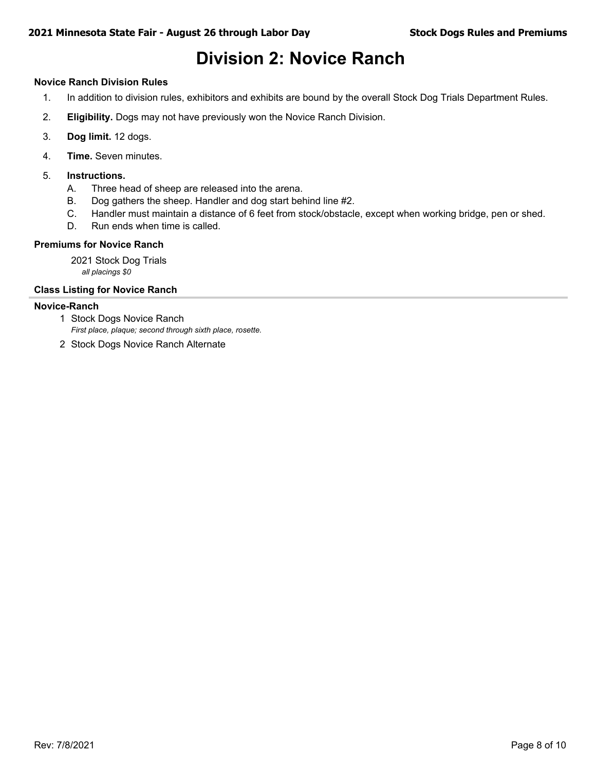### **Division 2: Novice Ranch**

#### **Novice Ranch Division Rules**

- 1. In addition to division rules, exhibitors and exhibits are bound by the overall Stock Dog Trials Department Rules.
- 2. **Eligibility.** Dogs may not have previously won the Novice Ranch Division.
- 3. **Dog limit.** 12 dogs.
- 4. **Time.** Seven minutes.
- 5. **Instructions.**
	- A. Three head of sheep are released into the arena.
	- B. Dog gathers the sheep. Handler and dog start behind line #2.
	- C. Handler must maintain a distance of 6 feet from stock/obstacle, except when working bridge, pen or shed.
	- D. Run ends when time is called.

#### **Premiums for Novice Ranch**

2021 Stock Dog Trials *all placings \$0*

#### **Class Listing for Novice Ranch**

#### **Novice-Ranch**

- *First place, plaque; second through sixth place, rosette.* 1 Stock Dogs Novice Ranch
- 2 Stock Dogs Novice Ranch Alternate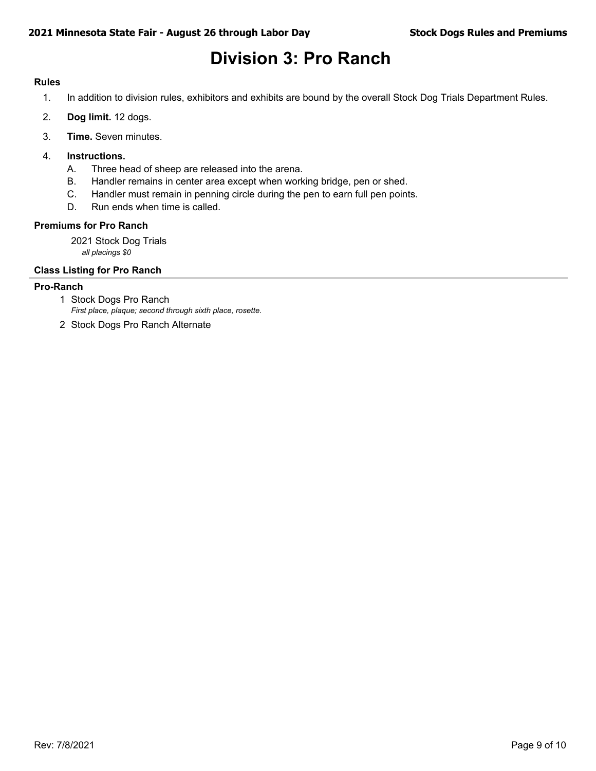### **Division 3: Pro Ranch**

#### **Rules**

- 1. In addition to division rules, exhibitors and exhibits are bound by the overall Stock Dog Trials Department Rules.
- 2. **Dog limit.** 12 dogs.
- 3. **Time.** Seven minutes.
- 4. **Instructions.**
	- A. Three head of sheep are released into the arena.
	- B. Handler remains in center area except when working bridge, pen or shed.
	- C. Handler must remain in penning circle during the pen to earn full pen points.
	- D. Run ends when time is called.

#### **Premiums for Pro Ranch**

2021 Stock Dog Trials *all placings \$0*

#### **Class Listing for Pro Ranch**

#### **Pro-Ranch**

- *First place, plaque; second through sixth place, rosette.* 1 Stock Dogs Pro Ranch
- 2 Stock Dogs Pro Ranch Alternate